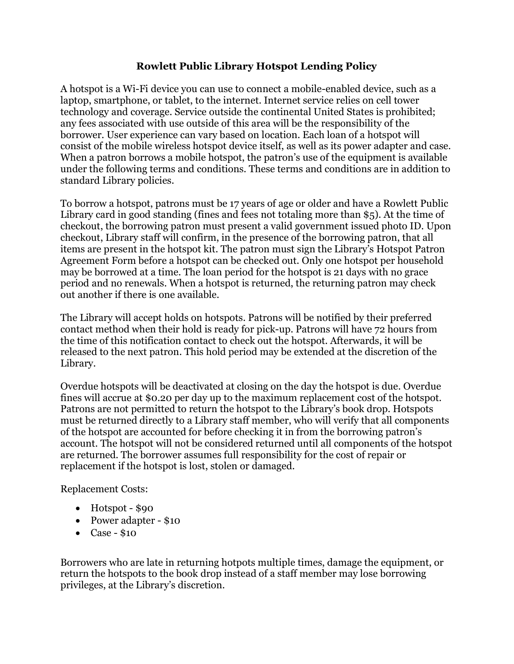## Rowlett Public Library Hotspot Lending Policy

A hotspot is a Wi-Fi device you can use to connect a mobile-enabled device, such as a laptop, smartphone, or tablet, to the internet. Internet service relies on cell tower technology and coverage. Service outside the continental United States is prohibited; any fees associated with use outside of this area will be the responsibility of the borrower. User experience can vary based on location. Each loan of a hotspot will consist of the mobile wireless hotspot device itself, as well as its power adapter and case. When a patron borrows a mobile hotspot, the patron's use of the equipment is available under the following terms and conditions. These terms and conditions are in addition to standard Library policies.

To borrow a hotspot, patrons must be 17 years of age or older and have a Rowlett Public Library card in good standing (fines and fees not totaling more than \$5). At the time of checkout, the borrowing patron must present a valid government issued photo ID. Upon checkout, Library staff will confirm, in the presence of the borrowing patron, that all items are present in the hotspot kit. The patron must sign the Library's Hotspot Patron Agreement Form before a hotspot can be checked out. Only one hotspot per household may be borrowed at a time. The loan period for the hotspot is 21 days with no grace period and no renewals. When a hotspot is returned, the returning patron may check out another if there is one available.

The Library will accept holds on hotspots. Patrons will be notified by their preferred contact method when their hold is ready for pick-up. Patrons will have 72 hours from the time of this notification contact to check out the hotspot. Afterwards, it will be released to the next patron. This hold period may be extended at the discretion of the Library.

Overdue hotspots will be deactivated at closing on the day the hotspot is due. Overdue fines will accrue at \$0.20 per day up to the maximum replacement cost of the hotspot. Patrons are not permitted to return the hotspot to the Library's book drop. Hotspots must be returned directly to a Library staff member, who will verify that all components of the hotspot are accounted for before checking it in from the borrowing patron's account. The hotspot will not be considered returned until all components of the hotspot are returned. The borrower assumes full responsibility for the cost of repair or replacement if the hotspot is lost, stolen or damaged.

Replacement Costs:

- Hotspot \$90
- Power adapter \$10
- $\bullet$  Case \$10

Borrowers who are late in returning hotpots multiple times, damage the equipment, or return the hotspots to the book drop instead of a staff member may lose borrowing privileges, at the Library's discretion.